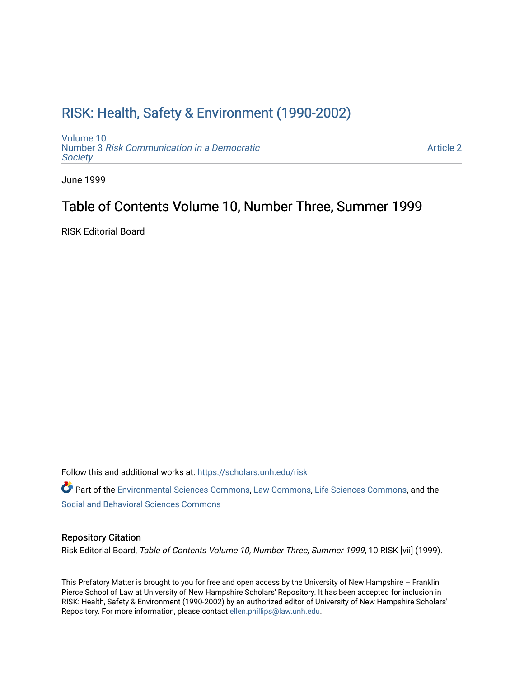## [RISK: Health, Safety & Environment \(1990-2002\)](https://scholars.unh.edu/risk)

[Volume 10](https://scholars.unh.edu/risk/vol10) Number 3 [Risk Communication in a Democratic](https://scholars.unh.edu/risk/vol10/iss3) **Society** 

[Article 2](https://scholars.unh.edu/risk/vol10/iss3/2) 

June 1999

## Table of Contents Volume 10, Number Three, Summer 1999

RISK Editorial Board

Follow this and additional works at: [https://scholars.unh.edu/risk](https://scholars.unh.edu/risk?utm_source=scholars.unh.edu%2Frisk%2Fvol10%2Fiss3%2F2&utm_medium=PDF&utm_campaign=PDFCoverPages) 

Part of the [Environmental Sciences Commons](http://network.bepress.com/hgg/discipline/167?utm_source=scholars.unh.edu%2Frisk%2Fvol10%2Fiss3%2F2&utm_medium=PDF&utm_campaign=PDFCoverPages), [Law Commons](http://network.bepress.com/hgg/discipline/578?utm_source=scholars.unh.edu%2Frisk%2Fvol10%2Fiss3%2F2&utm_medium=PDF&utm_campaign=PDFCoverPages), [Life Sciences Commons,](http://network.bepress.com/hgg/discipline/1016?utm_source=scholars.unh.edu%2Frisk%2Fvol10%2Fiss3%2F2&utm_medium=PDF&utm_campaign=PDFCoverPages) and the [Social and Behavioral Sciences Commons](http://network.bepress.com/hgg/discipline/316?utm_source=scholars.unh.edu%2Frisk%2Fvol10%2Fiss3%2F2&utm_medium=PDF&utm_campaign=PDFCoverPages)

## Repository Citation

Risk Editorial Board, Table of Contents Volume 10, Number Three, Summer 1999, 10 RISK [vii] (1999).

This Prefatory Matter is brought to you for free and open access by the University of New Hampshire – Franklin Pierce School of Law at University of New Hampshire Scholars' Repository. It has been accepted for inclusion in RISK: Health, Safety & Environment (1990-2002) by an authorized editor of University of New Hampshire Scholars' Repository. For more information, please contact [ellen.phillips@law.unh.edu](mailto:ellen.phillips@law.unh.edu).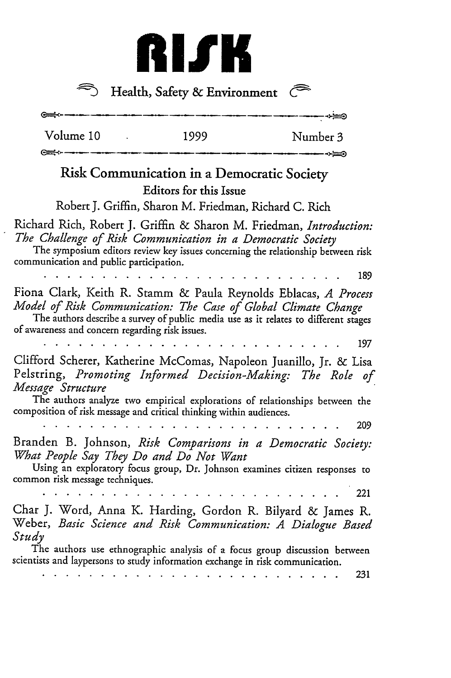

 $\widehat{\mathcal{D}}$  Health, Safety & Environment

.<br>1921 - André Karl André Karl André Karl André Karl André Karl André Karl André Karl André Karl André Karl And

 $\leftrightharpoons$ 

 $\overline{\phantom{a}}$ 



---

‱∻

| <b>Risk Communication in a Democratic Society</b>                                                                                                                                    | <b>Editors for this Issue</b> |                                                                                     |
|--------------------------------------------------------------------------------------------------------------------------------------------------------------------------------------|-------------------------------|-------------------------------------------------------------------------------------|
| Robert J. Griffin, Sharon M. Friedman, Richard C. Rich                                                                                                                               |                               |                                                                                     |
| Richard Rich, Robert J. Griffin & Sharon M. Friedman, Introduction:<br>The Challenge of Risk Communication in a Democratic Society<br>communication and public participation.        |                               | The symposium editors review key issues concerning the relationship between risk    |
|                                                                                                                                                                                      |                               | 189                                                                                 |
| Fiona Clark, Keith R. Stamm & Paula Reynolds Eblacas, A Process<br>Model of Risk Communication: The Case of Global Climate Change<br>of awareness and concern regarding risk issues. |                               | The authors describe a survey of public media use as it relates to different stages |
|                                                                                                                                                                                      |                               | 197                                                                                 |
| Clifford Scherer, Katherine McComas, Napoleon Juanillo, Jr. & Lisa<br>Pelstring, Promoting Informed Decision-Making: The Role of<br>Message Structure                                |                               | The authors analyze two empirical explorations of relationships between the         |
| composition of risk message and critical thinking within audiences.                                                                                                                  |                               | 209                                                                                 |
|                                                                                                                                                                                      |                               |                                                                                     |
| Branden B. Johnson, Risk Comparisons in a Democratic Society:<br>What People Say They Do and Do Not Want                                                                             |                               |                                                                                     |
| common risk message techniques.                                                                                                                                                      |                               | Using an exploratory focus group, Dr. Johnson examines citizen responses to         |
|                                                                                                                                                                                      |                               | 221                                                                                 |
| Char J. Word, Anna K. Harding, Gordon R. Bilyard & James R.<br>Weber, Basic Science and Risk Communication: A Dialogue Based<br>Study                                                |                               |                                                                                     |
| scientists and laypersons to study information exchange in risk communication.                                                                                                       |                               | The authors use ethnographic analysis of a focus group discussion between<br>231    |
|                                                                                                                                                                                      |                               |                                                                                     |

Volume 10 1999 Number 3